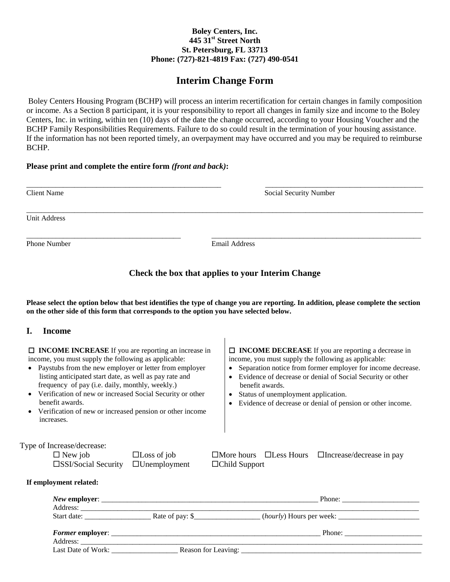### **Boley Centers, Inc. 445 31st Street North St. Petersburg, FL 33713 Phone: (727)-821-4819 Fax: (727) 490-0541**

# **Interim Change Form**

Boley Centers Housing Program (BCHP) will process an interim recertification for certain changes in family composition or income. As a Section 8 participant, it is your responsibility to report all changes in family size and income to the Boley Centers, Inc. in writing, within ten (10) days of the date the change occurred, according to your Housing Voucher and the BCHP Family Responsibilities Requirements. Failure to do so could result in the termination of your housing assistance. If the information has not been reported timely, an overpayment may have occurred and you may be required to reimburse BCHP.

### **Please print and complete the entire form** *(front and back)***:**

| <b>Client Name</b> | Social Security Number |  |  |  |  |
|--------------------|------------------------|--|--|--|--|
| Unit Address       |                        |  |  |  |  |
| Phone Number       | Email Address          |  |  |  |  |

## **Check the box that applies to your Interim Change**

**Please select the option below that best identifies the type of change you are reporting. In addition, please complete the section on the other side of this form that corresponds to the option you have selected below.**

### **I. Income**

| $\Box$ <b>INCOME INCREASE</b> If you are reporting an increase in<br>income, you must supply the following as applicable:<br>Paystubs from the new employer or letter from employer<br>listing anticipated start date, as well as pay rate and<br>frequency of pay (i.e. daily, monthly, weekly.)<br>Verification of new or increased Social Security or other<br>benefit awards.<br>Verification of new or increased pension or other income<br>increases. |                                                                                                                                                                                                                                     | $\Box$ <b>INCOME DECREASE</b> If you are reporting a decrease in<br>income, you must supply the following as applicable:<br>• Separation notice from former employer for income decrease.<br>• Evidence of decrease or denial of Social Security or other<br>benefit awards.<br>• Status of unemployment application.<br>• Evidence of decrease or denial of pension or other income. |  |  |  |  |
|-------------------------------------------------------------------------------------------------------------------------------------------------------------------------------------------------------------------------------------------------------------------------------------------------------------------------------------------------------------------------------------------------------------------------------------------------------------|-------------------------------------------------------------------------------------------------------------------------------------------------------------------------------------------------------------------------------------|---------------------------------------------------------------------------------------------------------------------------------------------------------------------------------------------------------------------------------------------------------------------------------------------------------------------------------------------------------------------------------------|--|--|--|--|
| Type of Increase/decrease:<br>$\Box$ New job                                                                                                                                                                                                                                                                                                                                                                                                                | $\Box$ Loss of job                                                                                                                                                                                                                  | $\Box$ More hours $\Box$ Less Hours $\Box$ Increase/decrease in pay                                                                                                                                                                                                                                                                                                                   |  |  |  |  |
| □SSI/Social Security                                                                                                                                                                                                                                                                                                                                                                                                                                        | $\Box$ Unemployment                                                                                                                                                                                                                 | $\Box$ Child Support                                                                                                                                                                                                                                                                                                                                                                  |  |  |  |  |
| If employment related:                                                                                                                                                                                                                                                                                                                                                                                                                                      |                                                                                                                                                                                                                                     |                                                                                                                                                                                                                                                                                                                                                                                       |  |  |  |  |
|                                                                                                                                                                                                                                                                                                                                                                                                                                                             | Address: <u>Address:</u> Address: Address: Address: Address: Address: Address: Address: Address: Address: Address: Address: Address: Address: Address: Address: Address: Address: Address: Address: Address: Address: Address: Addr |                                                                                                                                                                                                                                                                                                                                                                                       |  |  |  |  |
|                                                                                                                                                                                                                                                                                                                                                                                                                                                             |                                                                                                                                                                                                                                     |                                                                                                                                                                                                                                                                                                                                                                                       |  |  |  |  |
|                                                                                                                                                                                                                                                                                                                                                                                                                                                             |                                                                                                                                                                                                                                     |                                                                                                                                                                                                                                                                                                                                                                                       |  |  |  |  |
|                                                                                                                                                                                                                                                                                                                                                                                                                                                             |                                                                                                                                                                                                                                     |                                                                                                                                                                                                                                                                                                                                                                                       |  |  |  |  |